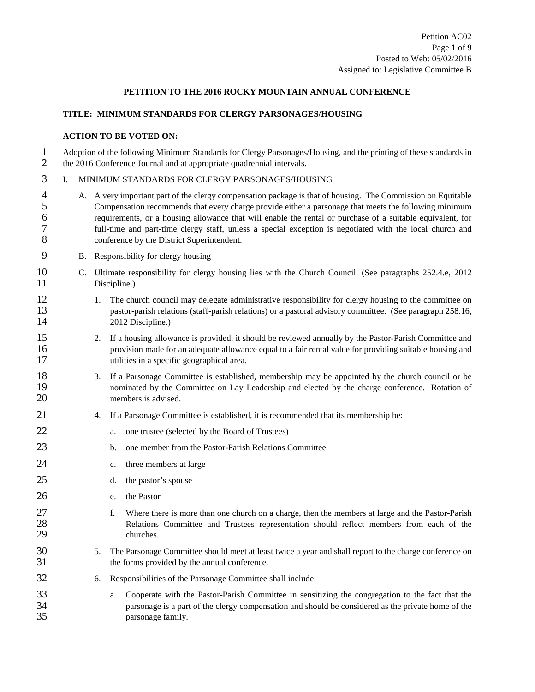### **PETITION TO THE 2016 ROCKY MOUNTAIN ANNUAL CONFERENCE**

### **TITLE: MINIMUM STANDARDS FOR CLERGY PARSONAGES/HOUSING**

#### **ACTION TO BE VOTED ON:**

1 Adoption of the following Minimum Standards for Clergy Parsonages/Housing, and the printing of these standards in<br>2 the 2016 Conference Journal and at appropriate quadrennial intervals. 2 the 2016 Conference Journal and at appropriate quadrennial intervals.

# 3 I. MINIMUM STANDARDS FOR CLERGY PARSONAGES/HOUSING

- 4 A. A very important part of the clergy compensation package is that of housing. The Commission on Equitable 5 Compensation recommends that every charge provide either a parsonage that meets the following minimum<br>6 requirements, or a housing allowance that will enable the rental or purchase of a suitable equivalent, for 6 requirements, or a housing allowance that will enable the rental or purchase of a suitable equivalent, for 7 full-time and part-time clergy staff, unless a special exception is negotiated with the local church and 8 conference by the District Superintendent.
- 9 B. Responsibility for clergy housing
- 10 C. Ultimate responsibility for clergy housing lies with the Church Council. (See paragraphs 252.4.e, 2012<br>11 Discipline.)
- 12 1. The church council may delegate administrative responsibility for clergy housing to the committee on 13 pastor-parish relations (staff-parish relations) or a pastoral advisory committee. (See paragraph 258.16, 14 2012 Discipline.)
- 15 2. If a housing allowance is provided, it should be reviewed annually by the Pastor-Parish Committee and 16 provision made for an adequate allowance equal to a fair rental value for providing suitable housing and 17 utilities in a specific geographical area.
- 18 3. If a Parsonage Committee is established, membership may be appointed by the church council or be nominated by the Committee on Lav Leadership and elected by the charge conference. Rotation of nominated by the Committee on Lay Leadership and elected by the charge conference. Rotation of 20 members is advised.
- 21 4. If a Parsonage Committee is established, it is recommended that its membership be:
- 22 a. one trustee (selected by the Board of Trustees)
- 23 b. one member from the Pastor-Parish Relations Committee
- 24 c. three members at large
- 25 d. the pastor's spouse
- 26 e. the Pastor
- 27 f. Where there is more than one church on a charge, then the members at large and the Pastor-Parish 28 Relations Committee and Trustees representation should reflect members from each of the 29 churches.
- 30 5. The Parsonage Committee should meet at least twice a year and shall report to the charge conference on 31 the forms provided by the annual conference.
- 32 6. Responsibilities of the Parsonage Committee shall include:
- 33 a. Cooperate with the Pastor-Parish Committee in sensitizing the congregation to the fact that the 34 parsonage is a part of the clergy compensation and should be considered as the private home of the 35 parsonage family.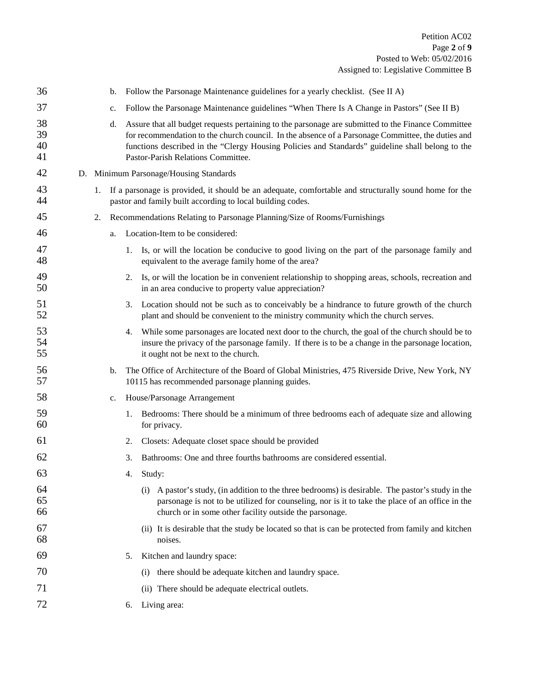| 36                   |    | b. | Follow the Parsonage Maintenance guidelines for a yearly checklist. (See II A)                                                                                                                                                                                                                                                                    |
|----------------------|----|----|---------------------------------------------------------------------------------------------------------------------------------------------------------------------------------------------------------------------------------------------------------------------------------------------------------------------------------------------------|
| 37                   |    | c. | Follow the Parsonage Maintenance guidelines "When There Is A Change in Pastors" (See II B)                                                                                                                                                                                                                                                        |
| 38<br>39<br>40<br>41 |    | d. | Assure that all budget requests pertaining to the parsonage are submitted to the Finance Committee<br>for recommendation to the church council. In the absence of a Parsonage Committee, the duties and<br>functions described in the "Clergy Housing Policies and Standards" guideline shall belong to the<br>Pastor-Parish Relations Committee. |
| 42                   |    |    | D. Minimum Parsonage/Housing Standards                                                                                                                                                                                                                                                                                                            |
| 43<br>44             | 1. |    | If a parsonage is provided, it should be an adequate, comfortable and structurally sound home for the<br>pastor and family built according to local building codes.                                                                                                                                                                               |
| 45                   | 2. |    | Recommendations Relating to Parsonage Planning/Size of Rooms/Furnishings                                                                                                                                                                                                                                                                          |
| 46                   |    | a. | Location-Item to be considered:                                                                                                                                                                                                                                                                                                                   |
| 47<br>48             |    |    | 1. Is, or will the location be conducive to good living on the part of the parsonage family and<br>equivalent to the average family home of the area?                                                                                                                                                                                             |
| 49<br>50             |    |    | Is, or will the location be in convenient relationship to shopping areas, schools, recreation and<br>2.<br>in an area conducive to property value appreciation?                                                                                                                                                                                   |
| 51<br>52             |    |    | Location should not be such as to conceivably be a hindrance to future growth of the church<br>3.<br>plant and should be convenient to the ministry community which the church serves.                                                                                                                                                            |
| 53<br>54<br>55       |    |    | While some parsonages are located next door to the church, the goal of the church should be to<br>4.<br>insure the privacy of the parsonage family. If there is to be a change in the parsonage location,<br>it ought not be next to the church.                                                                                                  |
| 56<br>57             |    | b. | The Office of Architecture of the Board of Global Ministries, 475 Riverside Drive, New York, NY<br>10115 has recommended parsonage planning guides.                                                                                                                                                                                               |
| 58                   |    | c. | House/Parsonage Arrangement                                                                                                                                                                                                                                                                                                                       |
| 59<br>60             |    |    | Bedrooms: There should be a minimum of three bedrooms each of adequate size and allowing<br>1.<br>for privacy.                                                                                                                                                                                                                                    |
| 61                   |    |    | Closets: Adequate closet space should be provided<br>2.                                                                                                                                                                                                                                                                                           |
| 62                   |    |    | 3.<br>Bathrooms: One and three fourths bathrooms are considered essential.                                                                                                                                                                                                                                                                        |
| 63                   |    |    | Study:<br>4.                                                                                                                                                                                                                                                                                                                                      |
| 64<br>65<br>66       |    |    | A pastor's study, (in addition to the three bedrooms) is desirable. The pastor's study in the<br>(i)<br>parsonage is not to be utilized for counseling, nor is it to take the place of an office in the<br>church or in some other facility outside the parsonage.                                                                                |
| 67<br>68             |    |    | (ii) It is desirable that the study be located so that is can be protected from family and kitchen<br>noises.                                                                                                                                                                                                                                     |
| 69                   |    |    | Kitchen and laundry space:<br>5.                                                                                                                                                                                                                                                                                                                  |
| 70                   |    |    | there should be adequate kitchen and laundry space.<br>(i)                                                                                                                                                                                                                                                                                        |
| 71                   |    |    | (ii) There should be adequate electrical outlets.                                                                                                                                                                                                                                                                                                 |
| 72                   |    |    | Living area:<br>6.                                                                                                                                                                                                                                                                                                                                |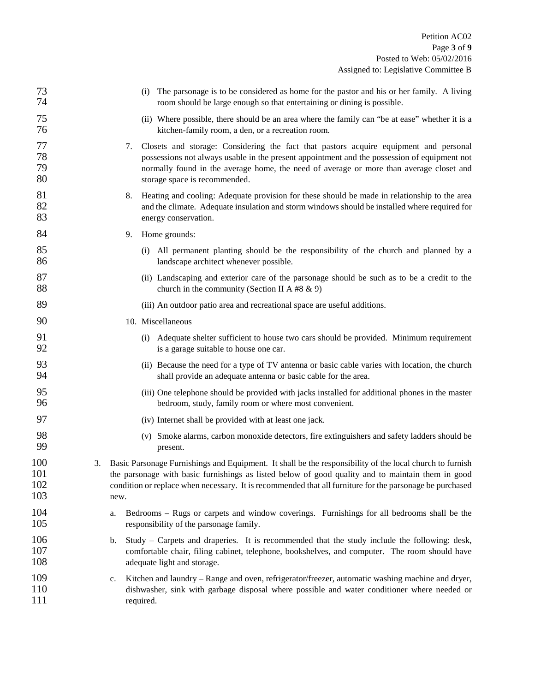| (i) The parsonage is to be considered as home for the pastor and his or her family. A living<br>room should be large enough so that entertaining or dining is possible.                                                                                                                                                                 | 73<br>74                 |
|-----------------------------------------------------------------------------------------------------------------------------------------------------------------------------------------------------------------------------------------------------------------------------------------------------------------------------------------|--------------------------|
| (ii) Where possible, there should be an area where the family can "be at ease" whether it is a<br>kitchen-family room, a den, or a recreation room.                                                                                                                                                                                     | 75<br>76                 |
| Closets and storage: Considering the fact that pastors acquire equipment and personal<br>7.<br>possessions not always usable in the present appointment and the possession of equipment not<br>normally found in the average home, the need of average or more than average closet and<br>storage space is recommended.                 | 77<br>78<br>79<br>80     |
| Heating and cooling: Adequate provision for these should be made in relationship to the area<br>8.<br>and the climate. Adequate insulation and storm windows should be installed where required for<br>energy conservation.                                                                                                             | 81<br>82<br>83           |
| Home grounds:<br>9.                                                                                                                                                                                                                                                                                                                     | 84                       |
| (i) All permanent planting should be the responsibility of the church and planned by a<br>landscape architect whenever possible.                                                                                                                                                                                                        | 85<br>86                 |
| (ii) Landscaping and exterior care of the parsonage should be such as to be a credit to the<br>church in the community (Section II A #8 $\&$ 9)                                                                                                                                                                                         | 87<br>88                 |
| (iii) An outdoor patio area and recreational space are useful additions.                                                                                                                                                                                                                                                                | 89                       |
| 10. Miscellaneous                                                                                                                                                                                                                                                                                                                       | 90                       |
| Adequate shelter sufficient to house two cars should be provided. Minimum requirement<br>(i)<br>is a garage suitable to house one car.                                                                                                                                                                                                  | 91<br>92                 |
| (ii) Because the need for a type of TV antenna or basic cable varies with location, the church<br>shall provide an adequate antenna or basic cable for the area.                                                                                                                                                                        | 93<br>94                 |
| (iii) One telephone should be provided with jacks installed for additional phones in the master<br>bedroom, study, family room or where most convenient.                                                                                                                                                                                | 95<br>96                 |
| (iv) Internet shall be provided with at least one jack.                                                                                                                                                                                                                                                                                 | 97                       |
| (v) Smoke alarms, carbon monoxide detectors, fire extinguishers and safety ladders should be<br>present.                                                                                                                                                                                                                                | 98<br>99                 |
| Basic Parsonage Furnishings and Equipment. It shall be the responsibility of the local church to furnish<br>3.<br>the parsonage with basic furnishings as listed below of good quality and to maintain them in good<br>condition or replace when necessary. It is recommended that all furniture for the parsonage be purchased<br>new. | 100<br>101<br>102<br>103 |
| Bedrooms – Rugs or carpets and window coverings. Furnishings for all bedrooms shall be the<br>a.<br>responsibility of the parsonage family.                                                                                                                                                                                             | 104<br>105               |
| Study – Carpets and draperies. It is recommended that the study include the following: desk,<br>b.<br>comfortable chair, filing cabinet, telephone, bookshelves, and computer. The room should have<br>adequate light and storage.                                                                                                      | 106<br>107<br>108        |
| Kitchen and laundry – Range and oven, refrigerator/freezer, automatic washing machine and dryer,<br>c.<br>dishwasher, sink with garbage disposal where possible and water conditioner where needed or<br>required.                                                                                                                      | 109<br>110<br>111        |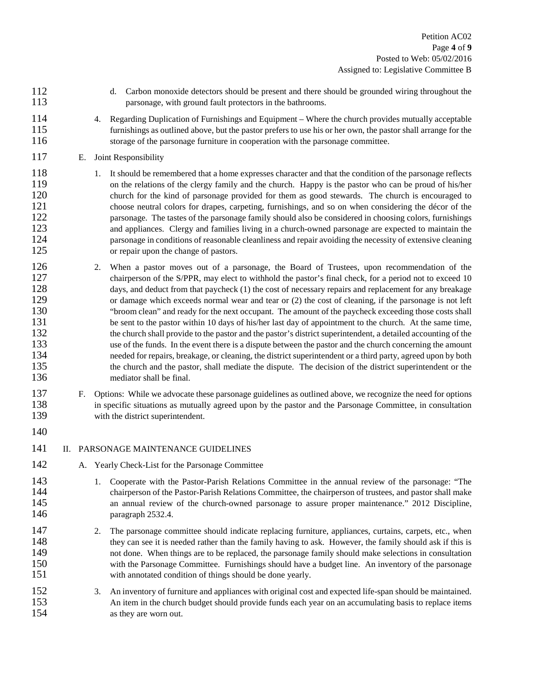- 112 d. Carbon monoxide detectors should be present and there should be grounded wiring throughout the 113 parsonage, with ground fault protectors in the bathrooms.
- 114 4. Regarding Duplication of Furnishings and Equipment Where the church provides mutually acceptable 115 furnishings as outlined above, but the pastor prefers to use his or her own, the pastor shall arrange for the 116 storage of the parsonage furniture in cooperation with the parsonage committee.
- 117 E. Joint Responsibility
- 118 1. It should be remembered that a home expresses character and that the condition of the parsonage reflects<br>119 on the relations of the clergy family and the church. Happy is the pastor who can be proud of his/her 119 on the relations of the clergy family and the church. Happy is the pastor who can be proud of his/her church for the kind of parsonage provided for them as good stewards. The church is encouraged to church for the kind of parsonage provided for them as good stewards. The church is encouraged to 121 choose neutral colors for drapes, carpeting, furnishings, and so on when considering the décor of the 122 parsonage. The tastes of the parsonage family should also be considered in choosing colors, furnishings 123 and appliances. Clergy and families living in a church-owned parsonage are expected to maintain the 124 parsonage in conditions of reasonable cleanliness and repair avoiding the necessity of extensive cleaning 125 or repair upon the change of pastors.
- 2. When a pastor moves out of a parsonage, the Board of Trustees, upon recommendation of the chairperson of the S/PPR, may elect to withhold the pastor's final check, for a period not to exceed 10 chairperson of the S/PPR, may elect to withhold the pastor's final check, for a period not to exceed 10 128 days, and deduct from that paycheck (1) the cost of necessary repairs and replacement for any breakage 129 or damage which exceeds normal wear and tear or (2) the cost of cleaning, if the parsonage is not left 130 "broom clean" and ready for the next occupant. The amount of the paycheck exceeding those costs shall<br>131 be sent to the pastor within 10 days of his/her last day of appointment to the church. At the same time, be sent to the pastor within 10 days of his/her last day of appointment to the church. At the same time, 132 the church shall provide to the pastor and the pastor's district superintendent, a detailed accounting of the 133 use of the funds. In the event there is a dispute between the pastor and the church concerning the amount<br>134 needed for repairs, breakage, or cleaning, the district superintendent or a third party, agreed upon by both needed for repairs, breakage, or cleaning, the district superintendent or a third party, agreed upon by both 135 the church and the pastor, shall mediate the dispute. The decision of the district superintendent or the 136 mediator shall be final.
- 137 F. Options: While we advocate these parsonage guidelines as outlined above, we recognize the need for options 138 in specific situations as mutually agreed upon by the pastor and the Parsonage Committee, in consultation 139 with the district superintendent.
- 140
- 

141 II. PARSONAGE MAINTENANCE GUIDELINES

- 142 A. Yearly Check-List for the Parsonage Committee
- 143 1. Cooperate with the Pastor-Parish Relations Committee in the annual review of the parsonage: "The 144 chairperson of the Pastor-Parish Relations Committee, the chairperson of trustees, and pastor shall make 145 an annual review of the church-owned parsonage to assure proper maintenance." 2012 Discipline, 146 paragraph 2532.4.
- 147 2. The parsonage committee should indicate replacing furniture, appliances, curtains, carpets, etc., when 148 they can see it is needed rather than the family having to ask. However, the family should ask if this is<br>149 that done. When things are to be replaced, the parsonage family should make selections in consultation not done. When things are to be replaced, the parsonage family should make selections in consultation 150 with the Parsonage Committee. Furnishings should have a budget line. An inventory of the parsonage 151 with annotated condition of things should be done yearly.
- 152 3. An inventory of furniture and appliances with original cost and expected life-span should be maintained. 153 An item in the church budget should provide funds each year on an accumulating basis to replace items 154 as they are worn out.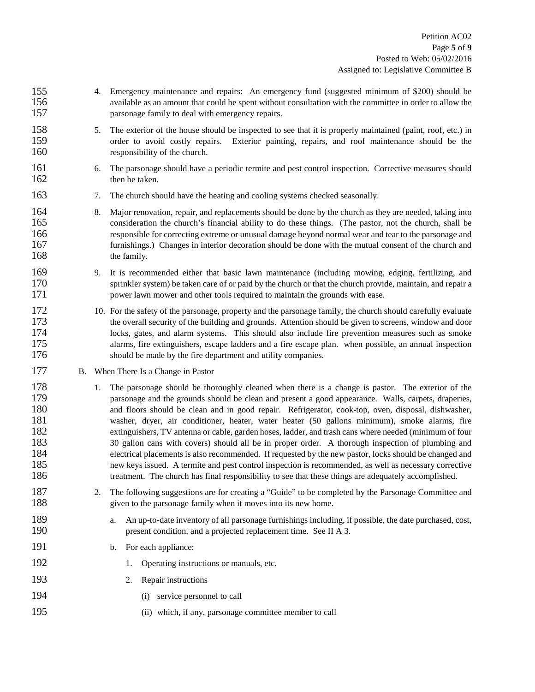155 4. Emergency maintenance and repairs: An emergency fund (suggested minimum of \$200) should be 156 available as an amount that could be spent without consultation with the committee in order to allow the 157 **parsonage family to deal with emergency repairs.** 158 5. The exterior of the house should be inspected to see that it is properly maintained (paint, roof, etc.) in 159 order to avoid costly repairs. Exterior painting, repairs, and roof maintenance should be the 160 responsibility of the church. 161 6. The parsonage should have a periodic termite and pest control inspection. Corrective measures should then be taken. then be taken. 163 7. The church should have the heating and cooling systems checked seasonally. 164 8. Major renovation, repair, and replacements should be done by the church as they are needed, taking into 165 consideration the church's financial ability to do these things. (The pastor, not the church, shall be 166 responsible for correcting extreme or unusual damage beyond normal wear and tear to the parsonage and 167 furnishings.) Changes in interior decoration should be done with the mutual consent of the church and 168 the family. 169 9. It is recommended either that basic lawn maintenance (including mowing, edging, fertilizing, and sprinkler system) be taken care of or paid by the church or that the church provide, maintain, and repair a sprinkler system) be taken care of or paid by the church or that the church provide, maintain, and repair a 171 power lawn mower and other tools required to maintain the grounds with ease. 172 10. For the safety of the parsonage, property and the parsonage family, the church should carefully evaluate 173 the overall security of the building and grounds. Attention should be given to screens, window and door 174 locks, gates, and alarm systems. This should also include fire prevention measures such as smoke 175 alarms, fire extinguishers, escape ladders and a fire escape plan. when possible, an annual inspection 176 should be made by the fire department and utility companies. 177 B. When There Is a Change in Pastor 178 1. The parsonage should be thoroughly cleaned when there is a change is pastor. The exterior of the 179 parsonage and the grounds should be clean and present a good appearance. Walls, carpets, draperies, 180 and floors should be clean and in good repair. Refrigerator, cook-top, oven, disposal, dishwasher, 181 washer, dryer, air conditioner, heater, water heater (50 gallons minimum), smoke alarms, fire 182 extinguishers, TV antenna or cable, garden hoses, ladder, and trash cans where needed (minimum of four 183 sallon cans with covers) should all be in proper order. A thorough inspection of plumbing and 183 30 gallon cans with covers) should all be in proper order. A thorough inspection of plumbing and 184 electrical placements is also recommended. If requested by the new pastor, locks should be changed and 185 new keys issued. A termite and pest control inspection is recommended, as well as necessary corrective 186 treatment. The church has final responsibility to see that these things are adequately accomplished. 187 2. The following suggestions are for creating a "Guide" to be completed by the Parsonage Committee and 188 given to the parsonage family when it moves into its new home. 189 a. An up-to-date inventory of all parsonage furnishings including, if possible, the date purchased, cost, 190 present condition, and a projected replacement time. See II A 3. 191 b. For each appliance: 192 1. Operating instructions or manuals, etc. 193 2. Repair instructions 194 (i) service personnel to call 195 (ii) which, if any, parsonage committee member to call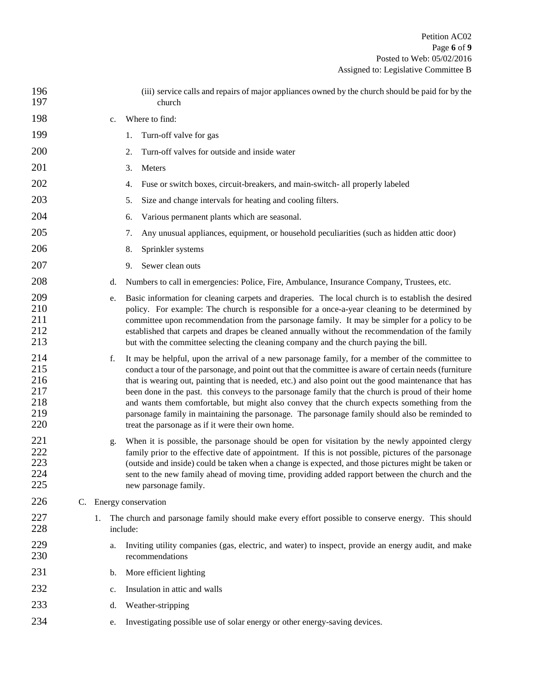| 196<br>197                                    |    |    |    | (iii) service calls and repairs of major appliances owned by the church should be paid for by the<br>church                                                                                                                                                                                                                                                                                                                                                                                                                                                                                                                                                                    |
|-----------------------------------------------|----|----|----|--------------------------------------------------------------------------------------------------------------------------------------------------------------------------------------------------------------------------------------------------------------------------------------------------------------------------------------------------------------------------------------------------------------------------------------------------------------------------------------------------------------------------------------------------------------------------------------------------------------------------------------------------------------------------------|
| 198                                           |    |    | c. | Where to find:                                                                                                                                                                                                                                                                                                                                                                                                                                                                                                                                                                                                                                                                 |
| 199                                           |    |    |    | Turn-off valve for gas<br>1.                                                                                                                                                                                                                                                                                                                                                                                                                                                                                                                                                                                                                                                   |
| 200                                           |    |    |    | Turn-off valves for outside and inside water<br>2.                                                                                                                                                                                                                                                                                                                                                                                                                                                                                                                                                                                                                             |
| 201                                           |    |    |    | 3.<br>Meters                                                                                                                                                                                                                                                                                                                                                                                                                                                                                                                                                                                                                                                                   |
| 202                                           |    |    |    | Fuse or switch boxes, circuit-breakers, and main-switch- all properly labeled<br>4.                                                                                                                                                                                                                                                                                                                                                                                                                                                                                                                                                                                            |
| 203                                           |    |    |    | 5.<br>Size and change intervals for heating and cooling filters.                                                                                                                                                                                                                                                                                                                                                                                                                                                                                                                                                                                                               |
| 204                                           |    |    |    | Various permanent plants which are seasonal.<br>6.                                                                                                                                                                                                                                                                                                                                                                                                                                                                                                                                                                                                                             |
| 205                                           |    |    |    | Any unusual appliances, equipment, or household peculiarities (such as hidden attic door)<br>7.                                                                                                                                                                                                                                                                                                                                                                                                                                                                                                                                                                                |
| 206                                           |    |    |    | 8.<br>Sprinkler systems                                                                                                                                                                                                                                                                                                                                                                                                                                                                                                                                                                                                                                                        |
| 207                                           |    |    |    | 9.<br>Sewer clean outs                                                                                                                                                                                                                                                                                                                                                                                                                                                                                                                                                                                                                                                         |
| 208                                           |    |    | d. | Numbers to call in emergencies: Police, Fire, Ambulance, Insurance Company, Trustees, etc.                                                                                                                                                                                                                                                                                                                                                                                                                                                                                                                                                                                     |
| 209<br>210<br>211<br>212<br>213               |    |    | e. | Basic information for cleaning carpets and draperies. The local church is to establish the desired<br>policy. For example: The church is responsible for a once-a-year cleaning to be determined by<br>committee upon recommendation from the parsonage family. It may be simpler for a policy to be<br>established that carpets and drapes be cleaned annually without the recommendation of the family<br>but with the committee selecting the cleaning company and the church paying the bill.                                                                                                                                                                              |
| 214<br>215<br>216<br>217<br>218<br>219<br>220 |    |    | f. | It may be helpful, upon the arrival of a new parsonage family, for a member of the committee to<br>conduct a tour of the parsonage, and point out that the committee is aware of certain needs (furniture<br>that is wearing out, painting that is needed, etc.) and also point out the good maintenance that has<br>been done in the past. this conveys to the parsonage family that the church is proud of their home<br>and wants them comfortable, but might also convey that the church expects something from the<br>parsonage family in maintaining the parsonage. The parsonage family should also be reminded to<br>treat the parsonage as if it were their own home. |
| 221<br>222<br>223<br>224<br>225               |    |    | g. | When it is possible, the parsonage should be open for visitation by the newly appointed clergy<br>family prior to the effective date of appointment. If this is not possible, pictures of the parsonage<br>(outside and inside) could be taken when a change is expected, and those pictures might be taken or<br>sent to the new family ahead of moving time, providing added rapport between the church and the<br>new parsonage family.                                                                                                                                                                                                                                     |
| 226                                           | C. |    |    | Energy conservation                                                                                                                                                                                                                                                                                                                                                                                                                                                                                                                                                                                                                                                            |
| 227<br>228                                    |    | 1. |    | The church and parsonage family should make every effort possible to conserve energy. This should<br>include:                                                                                                                                                                                                                                                                                                                                                                                                                                                                                                                                                                  |
| 229<br>230                                    |    |    | a. | Inviting utility companies (gas, electric, and water) to inspect, provide an energy audit, and make<br>recommendations                                                                                                                                                                                                                                                                                                                                                                                                                                                                                                                                                         |
| 231                                           |    |    | b. | More efficient lighting                                                                                                                                                                                                                                                                                                                                                                                                                                                                                                                                                                                                                                                        |
| 232                                           |    |    | c. | Insulation in attic and walls                                                                                                                                                                                                                                                                                                                                                                                                                                                                                                                                                                                                                                                  |
| 233                                           |    |    | d. | Weather-stripping                                                                                                                                                                                                                                                                                                                                                                                                                                                                                                                                                                                                                                                              |
| 234                                           |    |    | e. | Investigating possible use of solar energy or other energy-saving devices.                                                                                                                                                                                                                                                                                                                                                                                                                                                                                                                                                                                                     |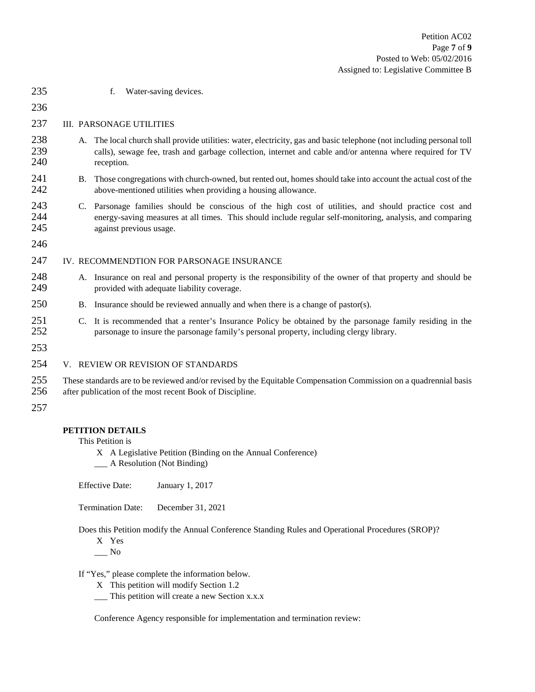235 f. Water-saving devices. 236 237 III. PARSONAGE UTILITIES 238 A. The local church shall provide utilities: water, electricity, gas and basic telephone (not including personal toll 239 calls), sewage fee, trash and garbage collection, internet and cable and/or antenna where required for TV 240 reception. 241 B. Those congregations with church-owned, but rented out, homes should take into account the actual cost of the above-mentioned utilities when providing a housing allowance. above-mentioned utilities when providing a housing allowance. 243 C. Parsonage families should be conscious of the high cost of utilities, and should practice cost and 244 energy-saving measures at all times. This should include regular self-monitoring, analysis, and comparing 245 against previous usage. 246 247 IV. RECOMMENDTION FOR PARSONAGE INSURANCE 248 A. Insurance on real and personal property is the responsibility of the owner of that property and should be provided with adequate liability coverage. provided with adequate liability coverage. 250 B. Insurance should be reviewed annually and when there is a change of pastor(s). 251 C. It is recommended that a renter's Insurance Policy be obtained by the parsonage family residing in the parsonage to insure the parsonage family's personal property, including clergy library. parsonage to insure the parsonage family's personal property, including clergy library. 253 254 V. REVIEW OR REVISION OF STANDARDS 255 These standards are to be reviewed and/or revised by the Equitable Compensation Commission on a quadrennial basis 256 after publication of the most recent Book of Discipline. 257

# **PETITION DETAILS**

This Petition is

- X A Legislative Petition (Binding on the Annual Conference)
- \_\_\_ A Resolution (Not Binding)

Effective Date: January 1, 2017

Termination Date: December 31, 2021

Does this Petition modify the Annual Conference Standing Rules and Operational Procedures (SROP)?

X Yes

 $\_\_$  No

If "Yes," please complete the information below.

- X This petition will modify Section 1.2
- \_\_\_ This petition will create a new Section x.x.x

Conference Agency responsible for implementation and termination review: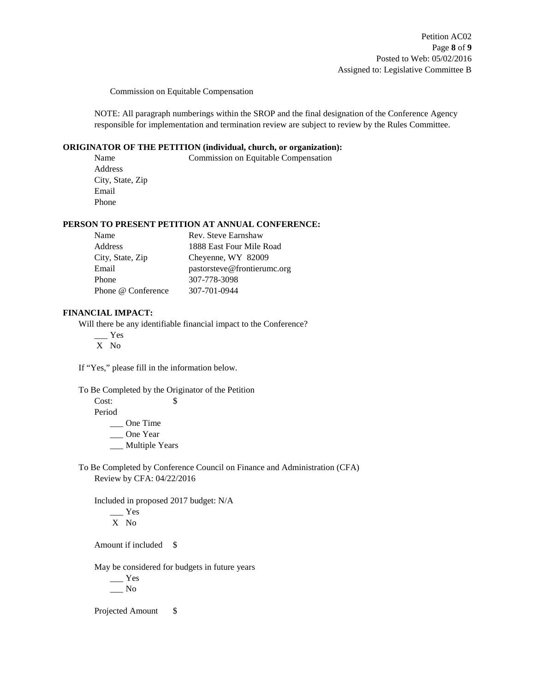Commission on Equitable Compensation

NOTE: All paragraph numberings within the SROP and the final designation of the Conference Agency responsible for implementation and termination review are subject to review by the Rules Committee.

### **ORIGINATOR OF THE PETITION (individual, church, or organization):**

Name Commission on Equitable Compensation Address City, State, Zip Email Phone

#### **PERSON TO PRESENT PETITION AT ANNUAL CONFERENCE:**

| Name               | Rev. Steve Earnshaw         |
|--------------------|-----------------------------|
| Address            | 1888 East Four Mile Road    |
| City, State, Zip   | Cheyenne, WY 82009          |
| Email              | pastorsteve@frontierumc.org |
| Phone              | 307-778-3098                |
| Phone @ Conference | 307-701-0944                |

## **FINANCIAL IMPACT:**

Will there be any identifiable financial impact to the Conference?

 $\equiv$  Yes

X No

If "Yes," please fill in the information below.

To Be Completed by the Originator of the Petition

 $Cost:$   $\qquad$  \$

Period

\_\_\_ One Time

\_\_\_ One Year

\_\_ Multiple Years

To Be Completed by Conference Council on Finance and Administration (CFA) Review by CFA: 04/22/2016

Included in proposed 2017 budget: N/A \_\_\_ Yes

X No

Amount if included \$

May be considered for budgets in future years

 $\_\_$  Yes  $\frac{N_0}{N_0}$ 

Projected Amount \$